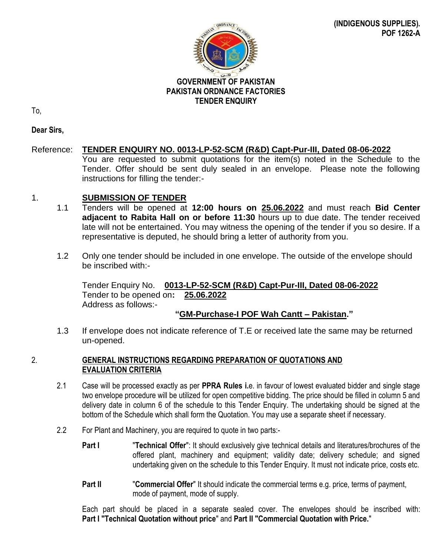

# **GOVERNMENT OF PAKISTAN PAKISTAN ORDNANCE FACTORIES TENDER ENQUIRY**

To,

**Dear Sirs,**

# Reference: **TENDER ENQUIRY NO. 0013-LP-52-SCM (R&D) Capt-Pur-III, Dated 08-06-2022**

You are requested to submit quotations for the item(s) noted in the Schedule to the Tender. Offer should be sent duly sealed in an envelope. Please note the following instructions for filling the tender:-

### 1. **SUBMISSION OF TENDER**

- 1.1 Tenders will be opened at **12:00 hours on 25.06.2022** and must reach **Bid Center adjacent to Rabita Hall on or before 11:30** hours up to due date. The tender received late will not be entertained. You may witness the opening of the tender if you so desire. If a representative is deputed, he should bring a letter of authority from you.
- 1.2 Only one tender should be included in one envelope. The outside of the envelope should be inscribed with:-

Tender Enquiry No. **0013-LP-52-SCM (R&D) Capt-Pur-III, Dated 08-06-2022** Tender to be opened on**: 25.06.2022** Address as follows:-

### **"GM-Purchase-I POF Wah Cantt – Pakistan."**

1.3 If envelope does not indicate reference of T.E or received late the same may be returned un-opened.

#### 2. **GENERAL INSTRUCTIONS REGARDING PREPARATION OF QUOTATIONS AND EVALUATION CRITERIA**

- 2.1 Case will be processed exactly as per **PPRA Rules i.**e. in favour of lowest evaluated bidder and single stage two envelope procedure will be utilized for open competitive bidding. The price should be filled in column 5 and delivery date in column 6 of the schedule to this Tender Enquiry. The undertaking should be signed at the bottom of the Schedule which shall form the Quotation. You may use a separate sheet if necessary.
- 2.2 For Plant and Machinery, you are required to quote in two parts:-
	- **Part I** "**Technical Offer**": It should exclusively give technical details and literatures/brochures of the offered plant, machinery and equipment; validity date; delivery schedule; and signed undertaking given on the schedule to this Tender Enquiry. It must not indicate price, costs etc.
	- **Part II** "Commercial Offer" It should indicate the commercial terms e.g. price, terms of payment, mode of payment, mode of supply.

Each part should be placed in a separate sealed cover. The envelopes should be inscribed with: **Part I "Technical Quotation without price**" and **Part II "Commercial Quotation with Price.**"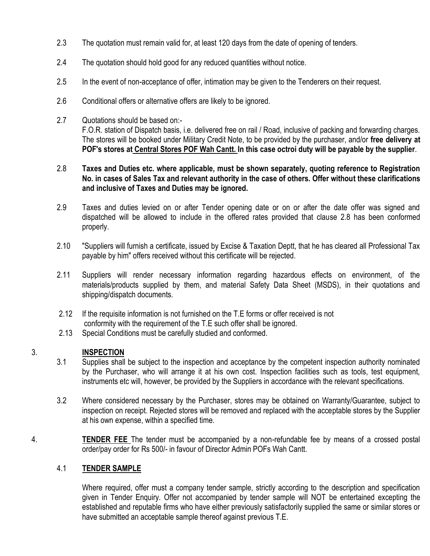- 2.3 The quotation must remain valid for, at least 120 days from the date of opening of tenders.
- 2.4 The quotation should hold good for any reduced quantities without notice.
- 2.5 In the event of non-acceptance of offer, intimation may be given to the Tenderers on their request.
- 2.6 Conditional offers or alternative offers are likely to be ignored.
- 2.7 Quotations should be based on:- F.O.R. station of Dispatch basis, i.e. delivered free on rail / Road, inclusive of packing and forwarding charges. The stores will be booked under Military Credit Note, to be provided by the purchaser, and/or **free delivery at POF's stores at Central Stores POF Wah Cantt. In this case octroi duty will be payable by the supplier**.

#### 2.8 **Taxes and Duties etc. where applicable, must be shown separately, quoting reference to Registration No. in cases of Sales Tax and relevant authority in the case of others. Offer without these clarifications and inclusive of Taxes and Duties may be ignored.**

- 2.9 Taxes and duties levied on or after Tender opening date or on or after the date offer was signed and dispatched will be allowed to include in the offered rates provided that clause 2.8 has been conformed properly.
- 2.10 "Suppliers will furnish a certificate, issued by Excise & Taxation Deptt, that he has cleared all Professional Tax payable by him" offers received without this certificate will be rejected.
- 2.11 Suppliers will render necessary information regarding hazardous effects on environment, of the materials/products supplied by them, and material Safety Data Sheet (MSDS), in their quotations and shipping/dispatch documents.
- 2.12 If the requisite information is not furnished on the T.E forms or offer received is not
- conformity with the requirement of the T.E such offer shall be ignored.
- 2.13 Special Conditions must be carefully studied and conformed.

### 3. **INSPECTION**

- 3.1 Supplies shall be subject to the inspection and acceptance by the competent inspection authority nominated by the Purchaser, who will arrange it at his own cost. Inspection facilities such as tools, test equipment, instruments etc will, however, be provided by the Suppliers in accordance with the relevant specifications.
- 3.2 Where considered necessary by the Purchaser, stores may be obtained on Warranty/Guarantee, subject to inspection on receipt. Rejected stores will be removed and replaced with the acceptable stores by the Supplier at his own expense, within a specified time.
- 4. **TENDER FEE** The tender must be accompanied by a non-refundable fee by means of a crossed postal order/pay order for Rs 500/- in favour of Director Admin POFs Wah Cantt.

### 4.1 **TENDER SAMPLE**

 Where required, offer must a company tender sample, strictly according to the description and specification given in Tender Enquiry. Offer not accompanied by tender sample will NOT be entertained excepting the established and reputable firms who have either previously satisfactorily supplied the same or similar stores or have submitted an acceptable sample thereof against previous T.E.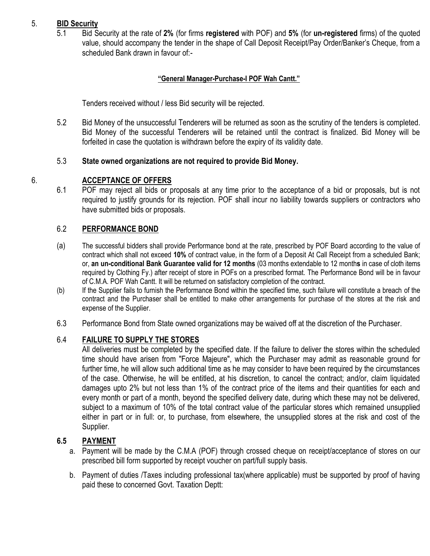#### 5. **BID Security**

5.1 Bid Security at the rate of **2%** (for firms **registered** with POF) and **5%** (for **un-registered** firms) of the quoted value, should accompany the tender in the shape of Call Deposit Receipt/Pay Order/Banker's Cheque, from a scheduled Bank drawn in favour of:-

# **"General Manager-Purchase-I POF Wah Cantt."**

Tenders received without / less Bid security will be rejected.

5.2 Bid Money of the unsuccessful Tenderers will be returned as soon as the scrutiny of the tenders is completed. Bid Money of the successful Tenderers will be retained until the contract is finalized. Bid Money will be forfeited in case the quotation is withdrawn before the expiry of its validity date.

# 5.3 **State owned organizations are not required to provide Bid Money.**

#### 6. **ACCEPTANCE OF OFFERS**

6.1 POF may reject all bids or proposals at any time prior to the acceptance of a bid or proposals, but is not required to justify grounds for its rejection. POF shall incur no liability towards suppliers or contractors who have submitted bids or proposals.

#### 6.2 **PERFORMANCE BOND**

- (a) The successful bidders shall provide Performance bond at the rate, prescribed by POF Board according to the value of contract which shall not exceed **10%** of contract value, in the form of a Deposit At Call Receipt from a scheduled Bank; or, **an un-conditional Bank Guarantee valid for 12 months** (03 months extendable to 12 month**s** in case of cloth items required by Clothing Fy.) after receipt of store in POFs on a prescribed format. The Performance Bond will be in favour of C.M.A. POF Wah Cantt. It will be returned on satisfactory completion of the contract.
- (b) If the Supplier fails to furnish the Performance Bond within the specified time, such failure will constitute a breach of the contract and the Purchaser shall be entitled to make other arrangements for purchase of the stores at the risk and expense of the Supplier.
- 6.3 Performance Bond from State owned organizations may be waived off at the discretion of the Purchaser.

#### 6.4 **FAILURE TO SUPPLY THE STORES**

All deliveries must be completed by the specified date. If the failure to deliver the stores within the scheduled time should have arisen from "Force Majeure", which the Purchaser may admit as reasonable ground for further time, he will allow such additional time as he may consider to have been required by the circumstances of the case. Otherwise, he will be entitled, at his discretion, to cancel the contract; and/or, claim liquidated damages upto 2% but not less than 1% of the contract price of the items and their quantities for each and every month or part of a month, beyond the specified delivery date, during which these may not be delivered, subject to a maximum of 10% of the total contract value of the particular stores which remained unsupplied either in part or in full: or, to purchase, from elsewhere, the unsupplied stores at the risk and cost of the Supplier.

### **6.5 PAYMENT**

- a. Payment will be made by the C.M.A (POF) through crossed cheque on receipt/acceptance of stores on our prescribed bill form supported by receipt voucher on part/full supply basis.
- b. Payment of duties /Taxes including professional tax(where applicable) must be supported by proof of having paid these to concerned Govt. Taxation Deptt: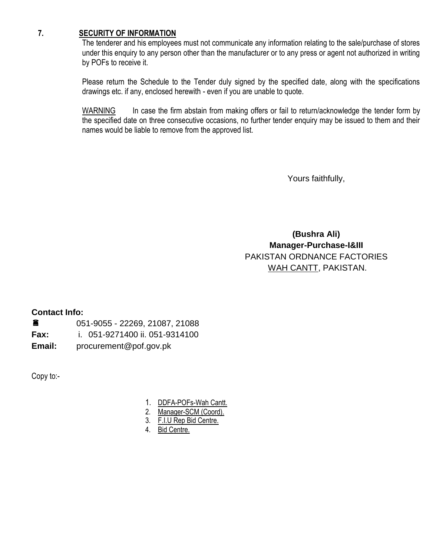#### **7. SECURITY OF INFORMATION**

The tenderer and his employees must not communicate any information relating to the sale/purchase of stores under this enquiry to any person other than the manufacturer or to any press or agent not authorized in writing by POFs to receive it.

Please return the Schedule to the Tender duly signed by the specified date, along with the specifications drawings etc. if any, enclosed herewith - even if you are unable to quote.

WARNING In case the firm abstain from making offers or fail to return/acknowledge the tender form by the specified date on three consecutive occasions, no further tender enquiry may be issued to them and their names would be liable to remove from the approved list.

Yours faithfully,

**(Bushra Ali) Manager-Purchase-I&III** PAKISTAN ORDNANCE FACTORIES WAH CANTT, PAKISTAN.

#### **Contact Info:**

| 畣      | 051-9055 - 22269, 21087, 21088 |
|--------|--------------------------------|
| Fax:   | i. 051-9271400 ii. 051-9314100 |
| Email: | procurement@pof.gov.pk         |

Copy to:-

- 1. DDFA-POFs-Wah Cantt.
- 2. Manager-SCM (Coord).
- 3. F.I.U Rep Bid Centre.
- 4. Bid Centre.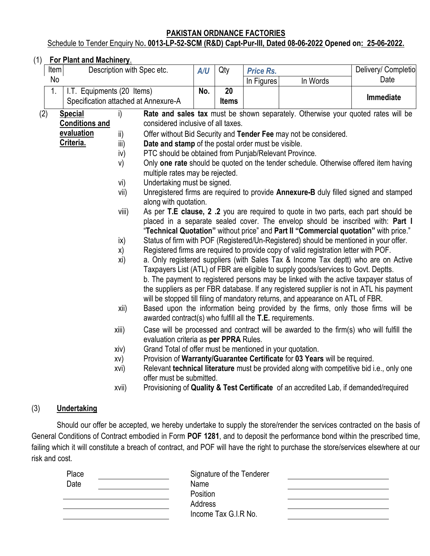#### **PAKISTAN ORDNANCE FACTORIES** Schedule to Tender Enquiry No**. 0013-LP-52-SCM (R&D) Capt-Pur-III, Dated 08-06-2022 Opened on: 25-06-2022.**

#### (1) **For Plant and Machinery**.

|                                  | Item                                                              |                                                                    |             | Description with Spec etc.                                                            | A/U | Qty                                                                                                                                                                                                                                                            | <b>Price Rs.</b>                                                                        |                                                                                                                                                                                                                                                                                                                                                                                                                                                                                                                                     | Delivery/ Completio |
|----------------------------------|-------------------------------------------------------------------|--------------------------------------------------------------------|-------------|---------------------------------------------------------------------------------------|-----|----------------------------------------------------------------------------------------------------------------------------------------------------------------------------------------------------------------------------------------------------------------|-----------------------------------------------------------------------------------------|-------------------------------------------------------------------------------------------------------------------------------------------------------------------------------------------------------------------------------------------------------------------------------------------------------------------------------------------------------------------------------------------------------------------------------------------------------------------------------------------------------------------------------------|---------------------|
|                                  | No                                                                |                                                                    |             |                                                                                       |     |                                                                                                                                                                                                                                                                | In Figures                                                                              | In Words                                                                                                                                                                                                                                                                                                                                                                                                                                                                                                                            | Date                |
|                                  | 1.                                                                | I.T. Equipments (20 Items)<br>Specification attached at Annexure-A |             |                                                                                       | No. | 20<br><b>Items</b>                                                                                                                                                                                                                                             |                                                                                         |                                                                                                                                                                                                                                                                                                                                                                                                                                                                                                                                     | Immediate           |
| (2)                              |                                                                   | <b>Special</b>                                                     | i)          |                                                                                       |     |                                                                                                                                                                                                                                                                |                                                                                         | Rate and sales tax must be shown separately. Otherwise your quoted rates will be                                                                                                                                                                                                                                                                                                                                                                                                                                                    |                     |
|                                  |                                                                   | <b>Conditions and</b>                                              |             | considered inclusive of all taxes.                                                    |     |                                                                                                                                                                                                                                                                |                                                                                         |                                                                                                                                                                                                                                                                                                                                                                                                                                                                                                                                     |                     |
|                                  |                                                                   | evaluation                                                         | ii)         |                                                                                       |     |                                                                                                                                                                                                                                                                |                                                                                         | Offer without Bid Security and Tender Fee may not be considered.                                                                                                                                                                                                                                                                                                                                                                                                                                                                    |                     |
|                                  |                                                                   | Criteria.                                                          | iii)        | Date and stamp of the postal order must be visible.                                   |     |                                                                                                                                                                                                                                                                |                                                                                         |                                                                                                                                                                                                                                                                                                                                                                                                                                                                                                                                     |                     |
|                                  |                                                                   |                                                                    | iv)         | PTC should be obtained from Punjab/Relevant Province.                                 |     |                                                                                                                                                                                                                                                                |                                                                                         |                                                                                                                                                                                                                                                                                                                                                                                                                                                                                                                                     |                     |
|                                  |                                                                   |                                                                    | V)          | multiple rates may be rejected.                                                       |     |                                                                                                                                                                                                                                                                |                                                                                         | Only one rate should be quoted on the tender schedule. Otherwise offered item having                                                                                                                                                                                                                                                                                                                                                                                                                                                |                     |
|                                  |                                                                   |                                                                    | vi)         | Undertaking must be signed.                                                           |     |                                                                                                                                                                                                                                                                |                                                                                         |                                                                                                                                                                                                                                                                                                                                                                                                                                                                                                                                     |                     |
|                                  |                                                                   |                                                                    | vii)        | along with quotation.                                                                 |     |                                                                                                                                                                                                                                                                |                                                                                         | Unregistered firms are required to provide Annexure-B duly filled signed and stamped                                                                                                                                                                                                                                                                                                                                                                                                                                                |                     |
| viii)                            |                                                                   |                                                                    |             |                                                                                       |     | As per T.E clause, 2 .2 you are required to quote in two parts, each part should be<br>placed in a separate sealed cover. The envelop should be inscribed with: Part I<br>"Technical Quotation" without price" and Part II "Commercial quotation" with price." |                                                                                         |                                                                                                                                                                                                                                                                                                                                                                                                                                                                                                                                     |                     |
|                                  | $\mathsf{ix}$<br>X)                                               |                                                                    |             | Status of firm with POF (Registered/Un-Registered) should be mentioned in your offer. |     |                                                                                                                                                                                                                                                                |                                                                                         |                                                                                                                                                                                                                                                                                                                                                                                                                                                                                                                                     |                     |
|                                  |                                                                   |                                                                    |             | Registered firms are required to provide copy of valid registration letter with POF.  |     |                                                                                                                                                                                                                                                                |                                                                                         |                                                                                                                                                                                                                                                                                                                                                                                                                                                                                                                                     |                     |
|                                  |                                                                   |                                                                    | xi)<br>xii) |                                                                                       |     |                                                                                                                                                                                                                                                                |                                                                                         | a. Only registered suppliers (with Sales Tax & Income Tax deptt) who are on Active<br>Taxpayers List (ATL) of FBR are eligible to supply goods/services to Govt. Deptts.<br>b. The payment to registered persons may be linked with the active taxpayer status of<br>the suppliers as per FBR database. If any registered supplier is not in ATL his payment<br>will be stopped till filing of mandatory returns, and appearance on ATL of FBR.<br>Based upon the information being provided by the firms, only those firms will be |                     |
|                                  |                                                                   |                                                                    |             | awarded contract(s) who fulfill all the T.E. requirements.                            |     |                                                                                                                                                                                                                                                                |                                                                                         |                                                                                                                                                                                                                                                                                                                                                                                                                                                                                                                                     |                     |
|                                  | xiii)<br>evaluation criteria as per PPRA Rules.                   |                                                                    |             |                                                                                       |     |                                                                                                                                                                                                                                                                | Case will be processed and contract will be awarded to the firm(s) who will fulfill the |                                                                                                                                                                                                                                                                                                                                                                                                                                                                                                                                     |                     |
|                                  | Grand Total of offer must be mentioned in your quotation.<br>xiv) |                                                                    |             |                                                                                       |     |                                                                                                                                                                                                                                                                |                                                                                         |                                                                                                                                                                                                                                                                                                                                                                                                                                                                                                                                     |                     |
|                                  |                                                                   |                                                                    | XV)         |                                                                                       |     |                                                                                                                                                                                                                                                                |                                                                                         | Provision of Warranty/Guarantee Certificate for 03 Years will be required.                                                                                                                                                                                                                                                                                                                                                                                                                                                          |                     |
| xvi)<br>offer must be submitted. |                                                                   |                                                                    |             |                                                                                       |     | Relevant technical literature must be provided along with competitive bid i.e., only one                                                                                                                                                                       |                                                                                         |                                                                                                                                                                                                                                                                                                                                                                                                                                                                                                                                     |                     |

xvii) Provisioning of **Quality & Test Certificate** of an accredited Lab, if demanded/required

# (3) **Undertaking**

Should our offer be accepted, we hereby undertake to supply the store/render the services contracted on the basis of General Conditions of Contract embodied in Form **POF 1281**, and to deposit the performance bond within the prescribed time, failing which it will constitute a breach of contract, and POF will have the right to purchase the store/services elsewhere at our risk and cost.

| Place | Signature of the Tenderer |  |
|-------|---------------------------|--|
| Date  | Name                      |  |
|       | Position                  |  |
|       | Address                   |  |
|       | Income Tax G.I.R No.      |  |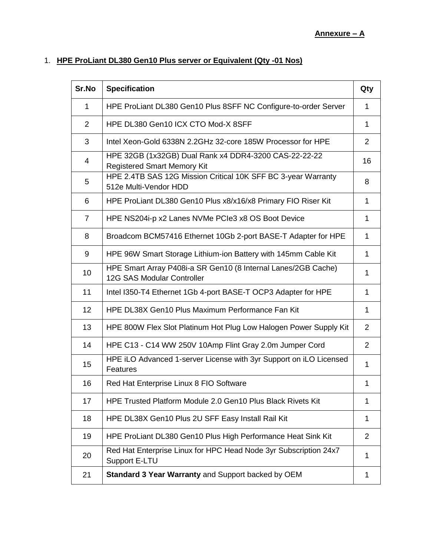# 1. **HPE ProLiant DL380 Gen10 Plus server or Equivalent (Qty -01 Nos)**

| Sr.No       | <b>Specification</b>                                                                        | Qty            |
|-------------|---------------------------------------------------------------------------------------------|----------------|
| $\mathbf 1$ | HPE ProLiant DL380 Gen10 Plus 8SFF NC Configure-to-order Server                             | 1              |
| 2           | HPE DL380 Gen10 ICX CTO Mod-X 8SFF                                                          | 1              |
| 3           | Intel Xeon-Gold 6338N 2.2GHz 32-core 185W Processor for HPE                                 | 2              |
| 4           | HPE 32GB (1x32GB) Dual Rank x4 DDR4-3200 CAS-22-22-22<br><b>Registered Smart Memory Kit</b> | 16             |
| 5           | HPE 2.4TB SAS 12G Mission Critical 10K SFF BC 3-year Warranty<br>512e Multi-Vendor HDD      | 8              |
| 6           | HPE ProLiant DL380 Gen10 Plus x8/x16/x8 Primary FIO Riser Kit                               | $\mathbf{1}$   |
| 7           | HPE NS204i-p x2 Lanes NVMe PCIe3 x8 OS Boot Device                                          | 1              |
| 8           | Broadcom BCM57416 Ethernet 10Gb 2-port BASE-T Adapter for HPE                               | 1              |
| 9           | HPE 96W Smart Storage Lithium-ion Battery with 145mm Cable Kit                              | 1              |
| 10          | HPE Smart Array P408i-a SR Gen10 (8 Internal Lanes/2GB Cache)<br>12G SAS Modular Controller | 1              |
| 11          | Intel I350-T4 Ethernet 1Gb 4-port BASE-T OCP3 Adapter for HPE                               | 1              |
| 12          | HPE DL38X Gen10 Plus Maximum Performance Fan Kit                                            | 1              |
| 13          | HPE 800W Flex Slot Platinum Hot Plug Low Halogen Power Supply Kit                           | $\overline{2}$ |
| 14          | HPE C13 - C14 WW 250V 10Amp Flint Gray 2.0m Jumper Cord                                     | $\overline{2}$ |
| 15          | HPE iLO Advanced 1-server License with 3yr Support on iLO Licensed<br>Features              | 1              |
| 16          | Red Hat Enterprise Linux 8 FIO Software                                                     | 1              |
| 17          | HPE Trusted Platform Module 2.0 Gen10 Plus Black Rivets Kit                                 | 1              |
| 18          | HPE DL38X Gen10 Plus 2U SFF Easy Install Rail Kit                                           | 1              |
| 19          | HPE ProLiant DL380 Gen10 Plus High Performance Heat Sink Kit                                | 2              |
| 20          | Red Hat Enterprise Linux for HPC Head Node 3yr Subscription 24x7<br>Support E-LTU           | 1              |
| 21          | Standard 3 Year Warranty and Support backed by OEM                                          | 1              |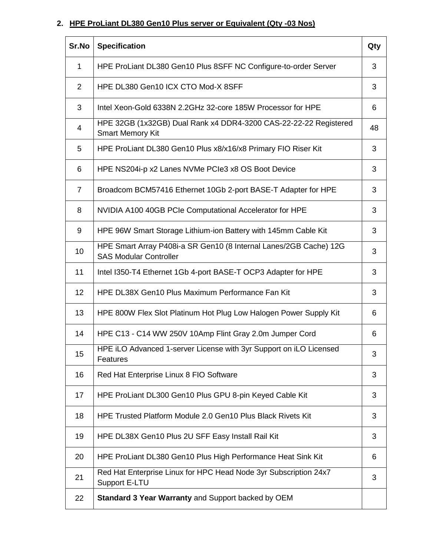# **2. HPE ProLiant DL380 Gen10 Plus server or Equivalent (Qty -03 Nos)**

| Sr.No          | <b>Specification</b>                                                                               | Qty |
|----------------|----------------------------------------------------------------------------------------------------|-----|
| 1              | HPE ProLiant DL380 Gen10 Plus 8SFF NC Configure-to-order Server                                    | 3   |
| $\overline{2}$ | HPE DL380 Gen10 ICX CTO Mod-X 8SFF                                                                 | 3   |
| 3              | Intel Xeon-Gold 6338N 2.2GHz 32-core 185W Processor for HPE                                        | 6   |
| 4              | HPE 32GB (1x32GB) Dual Rank x4 DDR4-3200 CAS-22-22-22 Registered<br><b>Smart Memory Kit</b>        | 48  |
| 5              | HPE ProLiant DL380 Gen10 Plus x8/x16/x8 Primary FIO Riser Kit                                      | 3   |
| 6              | HPE NS204i-p x2 Lanes NVMe PCIe3 x8 OS Boot Device                                                 | 3   |
| $\overline{7}$ | Broadcom BCM57416 Ethernet 10Gb 2-port BASE-T Adapter for HPE                                      | 3   |
| 8              | NVIDIA A100 40GB PCIe Computational Accelerator for HPE                                            | 3   |
| 9              | HPE 96W Smart Storage Lithium-ion Battery with 145mm Cable Kit                                     | 3   |
| 10             | HPE Smart Array P408i-a SR Gen10 (8 Internal Lanes/2GB Cache) 12G<br><b>SAS Modular Controller</b> | 3   |
| 11             | Intel I350-T4 Ethernet 1Gb 4-port BASE-T OCP3 Adapter for HPE                                      | 3   |
| 12             | HPE DL38X Gen10 Plus Maximum Performance Fan Kit                                                   | 3   |
| 13             | HPE 800W Flex Slot Platinum Hot Plug Low Halogen Power Supply Kit                                  | 6   |
| 14             | HPE C13 - C14 WW 250V 10Amp Flint Gray 2.0m Jumper Cord                                            | 6   |
| 15             | HPE iLO Advanced 1-server License with 3yr Support on iLO Licensed<br>Features                     | 3   |
| 16             | Red Hat Enterprise Linux 8 FIO Software                                                            | 3   |
| 17             | HPE ProLiant DL300 Gen10 Plus GPU 8-pin Keyed Cable Kit                                            | 3   |
| 18             | HPE Trusted Platform Module 2.0 Gen10 Plus Black Rivets Kit                                        | 3   |
| 19             | HPE DL38X Gen10 Plus 2U SFF Easy Install Rail Kit                                                  | 3   |
| 20             | HPE ProLiant DL380 Gen10 Plus High Performance Heat Sink Kit                                       | 6   |
| 21             | Red Hat Enterprise Linux for HPC Head Node 3yr Subscription 24x7<br>Support E-LTU                  | 3   |
| 22             | Standard 3 Year Warranty and Support backed by OEM                                                 |     |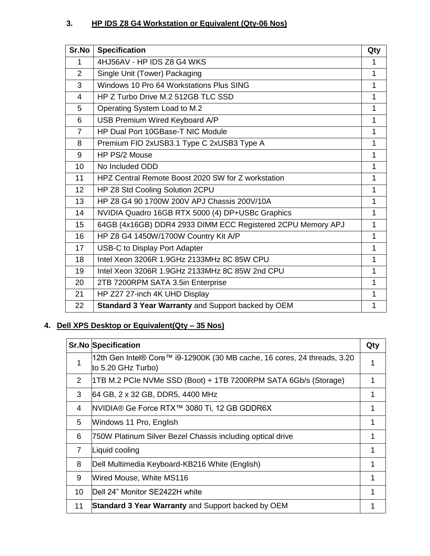# **3. HP IDS Z8 G4 Workstation or Equivalent (Qty-06 Nos)**

| Sr.No          | <b>Specification</b>                                        | Qty          |
|----------------|-------------------------------------------------------------|--------------|
| 1              | 4HJ56AV - HP IDS Z8 G4 WKS                                  | 1            |
| $\overline{2}$ | Single Unit (Tower) Packaging                               | 1            |
| 3              | Windows 10 Pro 64 Workstations Plus SING                    | 1            |
| $\overline{4}$ | HP Z Turbo Drive M.2 512GB TLC SSD                          | 1            |
| 5              | Operating System Load to M.2                                | 1            |
| 6              | USB Premium Wired Keyboard A/P                              | 1            |
| $\overline{7}$ | HP Dual Port 10GBase-T NIC Module                           | 1            |
| 8              | Premium FIO 2xUSB3.1 Type C 2xUSB3 Type A                   | 1            |
| 9              | HP PS/2 Mouse                                               | 1            |
| 10             | No Included ODD                                             | 1            |
| 11             | HPZ Central Remote Boost 2020 SW for Z workstation          | $\mathbf{1}$ |
| 12             | HP Z8 Std Cooling Solution 2CPU                             | 1            |
| 13             | HP Z8 G4 90 1700W 200V APJ Chassis 200V/10A                 | 1            |
| 14             | NVIDIA Quadro 16GB RTX 5000 (4) DP+USBc Graphics            | 1            |
| 15             | 64GB (4x16GB) DDR4 2933 DIMM ECC Registered 2CPU Memory APJ | 1            |
| 16             | HP Z8 G4 1450W/1700W Country Kit A/P                        | 1            |
| 17             | <b>USB-C to Display Port Adapter</b>                        | 1            |
| 18             | Intel Xeon 3206R 1.9GHz 2133MHz 8C 85W CPU                  | 1            |
| 19             | Intel Xeon 3206R 1.9GHz 2133MHz 8C 85W 2nd CPU              | 1            |
| 20             | 2TB 7200RPM SATA 3.5in Enterprise                           | 1            |
| 21             | HP Z27 27-inch 4K UHD Display                               | 1            |
| 22             | Standard 3 Year Warranty and Support backed by OEM          | 1            |

# **4. Dell XPS Desktop or Equivalent(Qty – 35 Nos)**

|    | <b>Sr.No Specification</b>                                                                     | Qty |
|----|------------------------------------------------------------------------------------------------|-----|
| 1  | 12th Gen Intel® Core™ i9-12900K (30 MB cache, 16 cores, 24 threads, 3.20<br>to 5.20 GHz Turbo) |     |
| 2  | 1TB M.2 PCIe NVMe SSD (Boot) + 1TB 7200RPM SATA 6Gb/s (Storage)                                |     |
| 3  | 64 GB, 2 x 32 GB, DDR5, 4400 MHz                                                               |     |
| 4  | NVIDIA® Ge Force RTX™ 3080 Ti, 12 GB GDDR6X                                                    |     |
| 5  | Windows 11 Pro, English                                                                        |     |
| 6  | 750W Platinum Silver Bezel Chassis including optical drive                                     | 1   |
| 7  | Liquid cooling                                                                                 | 1   |
| 8  | Dell Multimedia Keyboard-KB216 White (English)                                                 |     |
| 9  | Wired Mouse, White MS116                                                                       |     |
| 10 | IDell 24" Monitor SE2422H white                                                                |     |
| 11 | Standard 3 Year Warranty and Support backed by OEM                                             |     |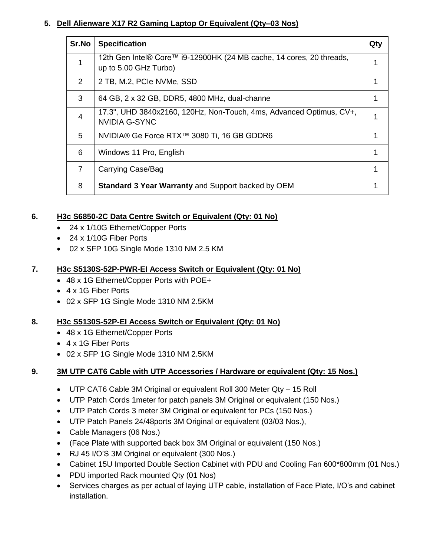### **5. Dell Alienware X17 R2 Gaming Laptop Or Equivalent (Qty–03 Nos)**

| Sr.No          | <b>Specification</b>                                                                          | Qty |
|----------------|-----------------------------------------------------------------------------------------------|-----|
|                | 12th Gen Intel® Core™ i9-12900HK (24 MB cache, 14 cores, 20 threads,<br>up to 5.00 GHz Turbo) |     |
| 2              | 2 TB, M.2, PCIe NVMe, SSD                                                                     | 1   |
| 3              | 64 GB, 2 x 32 GB, DDR5, 4800 MHz, dual-channe                                                 |     |
| $\overline{4}$ | 17.3", UHD 3840x2160, 120Hz, Non-Touch, 4ms, Advanced Optimus, CV+,<br><b>NVIDIA G-SYNC</b>   |     |
| 5              | NVIDIA® Ge Force RTX™ 3080 Ti, 16 GB GDDR6                                                    |     |
| 6              | Windows 11 Pro, English                                                                       |     |
| $\overline{7}$ | Carrying Case/Bag                                                                             |     |
| 8              | Standard 3 Year Warranty and Support backed by OEM                                            |     |

#### **6. H3c S6850-2C Data Centre Switch or Equivalent (Qty: 01 No)**

- 24 x 1/10G Ethernet/Copper Ports
- 24 x 1/10G Fiber Ports
- 02 x SFP 10G Single Mode 1310 NM 2.5 KM

#### **7. H3c S5130S-52P-PWR-EI Access Switch or Equivalent (Qty: 01 No)**

- 48 x 1G Ethernet/Copper Ports with POE+
- 4 x 1G Fiber Ports
- 02 x SFP 1G Single Mode 1310 NM 2.5KM

#### **8. H3c S5130S-52P-EI Access Switch or Equivalent (Qty: 01 No)**

- 48 x 1G Ethernet/Copper Ports
- 4 x 1G Fiber Ports
- 02 x SFP 1G Single Mode 1310 NM 2.5KM

#### **9. 3M UTP CAT6 Cable with UTP Accessories / Hardware or equivalent (Qty: 15 Nos.)**

- UTP CAT6 Cable 3M Original or equivalent Roll 300 Meter Qty 15 Roll
- UTP Patch Cords 1meter for patch panels 3M Original or equivalent (150 Nos.)
- UTP Patch Cords 3 meter 3M Original or equivalent for PCs (150 Nos.)
- UTP Patch Panels 24/48ports 3M Original or equivalent (03/03 Nos.),
- Cable Managers (06 Nos.)
- (Face Plate with supported back box 3M Original or equivalent (150 Nos.)
- RJ 45 I/O'S 3M Original or equivalent (300 Nos.)
- Cabinet 15U Imported Double Section Cabinet with PDU and Cooling Fan 600\*800mm (01 Nos.)
- PDU imported Rack mounted Qty (01 Nos)
- Services charges as per actual of laying UTP cable, installation of Face Plate, I/O's and cabinet installation.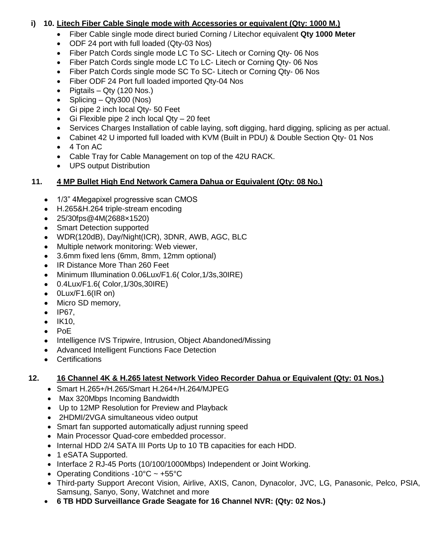#### **i) 10. Litech Fiber Cable Single mode with Accessories or equivalent (Qty: 1000 M.)**

- Fiber Cable single mode direct buried Corning / Litechor equivalent **Qty 1000 Meter**
- ODF 24 port with full loaded (Qty-03 Nos)
- Fiber Patch Cords single mode LC To SC- Litech or Corning Qty-06 Nos
- Fiber Patch Cords single mode LC To LC- Litech or Corning Qty- 06 Nos
- Fiber Patch Cords single mode SC To SC- Litech or Corning Qty- 06 Nos
- Fiber ODF 24 Port full loaded imported Qty-04 Nos
- Pigtails Qty (120 Nos.)
- Splicing  $Qt<sub>V</sub>300$  (Nos)
- Gi pipe 2 inch local Qty- 50 Feet
- Gi Flexible pipe 2 inch local  $Qty 20$  feet
- Services Charges Installation of cable laying, soft digging, hard digging, splicing as per actual.
- Cabinet 42 U imported full loaded with KVM (Built in PDU) & Double Section Qty- 01 Nos
- 4 Ton AC
- Cable Tray for Cable Management on top of the 42U RACK.
- UPS output Distribution

#### **11. 4 MP Bullet High End Network Camera Dahua or Equivalent (Qty: 08 No.)**

- 1/3" 4Megapixel progressive scan CMOS
- H.265&H.264 triple-stream encoding
- 25/30fps@4M(2688×1520)
- Smart Detection supported
- WDR(120dB), Day/Night(ICR), 3DNR, AWB, AGC, BLC
- Multiple network monitoring: Web viewer,
- 3.6mm fixed lens (6mm, 8mm, 12mm optional)
- IR Distance More Than 260 Feet
- Minimum Illumination 0.06Lux/F1.6( Color,1/3s,30IRE)
- 0.4Lux/F1.6( Color,1/30s,30IRE)
- $\bullet$  0Lux/F1.6(IR on)
- Micro SD memory,
- $\bullet$  IP67,
- $\bullet$  IK10,
- $\bullet$  PoE
- Intelligence IVS Tripwire, Intrusion, Object Abandoned/Missing
- Advanced Intelligent Functions Face Detection
- Certifications

### **12. 16 Channel 4K & H.265 latest Network Video Recorder Dahua or Equivalent (Qty: 01 Nos.)**

- Smart H.265+/H.265/Smart H.264+/H.264/MJPEG
- Max 320Mbps Incoming Bandwidth
- Up to 12MP Resolution for Preview and Playback
- 2HDMI/2VGA simultaneous video output
- Smart fan supported automatically adjust running speed
- Main Processor Quad-core embedded processor.
- Internal HDD 2/4 SATA III Ports Up to 10 TB capacities for each HDD.
- 1 eSATA Supported.
- Interface 2 RJ-45 Ports (10/100/1000Mbps) Independent or Joint Working.
- Operating Conditions -10 $^{\circ}$ C ~ +55 $^{\circ}$ C
- Third-party Support Arecont Vision, Airlive, AXIS, Canon, Dynacolor, JVC, LG, Panasonic, Pelco, PSIA, Samsung, Sanyo, Sony, Watchnet and more
- **6 TB HDD Surveillance Grade Seagate for 16 Channel NVR: (Qty: 02 Nos.)**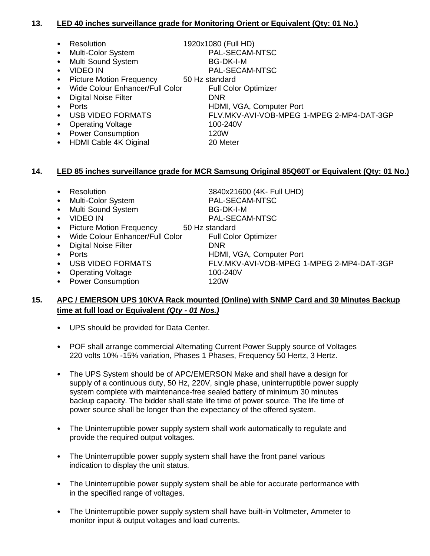#### **13. LED 40 inches surveillance grade for Monitoring Orient or Equivalent (Qty: 01 No.)**

- Resolution 1920x1080 (Full HD)
	- Multi-Color System PAL-SECAM-NTSC
- Multi Sound System BG-DK-I-M
- 
- Picture Motion Frequency 50 Hz standard
- Wide Colour Enhancer/Full Color Full Color Optimizer
- Digital Noise Filter **DNR**
- 
- Ports HDMI, VGA, Computer Port
- Operating Voltage 100-240V
- Power Consumption 120W
- HDMI Cable 4K Oiginal 20 Meter

- VIDEO IN PAL-SECAM-NTSC
	- -

• USB VIDEO FORMATS FLV.MKV-AVI-VOB-MPEG 1-MPEG 2-MP4-DAT-3GP

- -

#### **14. LED 85 inches surveillance grade for MCR Samsung Original 85Q60T or Equivalent (Qty: 01 No.)**

- 
- 
- **Multi Sound System BG-DK-I-M**
- 
- 
- Wide Colour Enhancer/Full Color
- **Digital Noise Filter CONDITION CONTRACT CONTRACT DURIES**
- 
- 
- 
- Operating Voltage 100-240V<br>• Power Consumption 120W • Power Consumption

• Ports HDMI, VGA, Computer Port • USB VIDEO FORMATS FLV.MKV-AVI-VOB-MPEG 1-MPEG 2-MP4-DAT-3GP

#### **15. APC / EMERSON UPS 10KVA Rack mounted (Online) with SNMP Card and 30 Minutes Backup time at full load or Equivalent** *(Qty - 01 Nos.)*

- UPS should be provided for Data Center.
- POF shall arrange commercial Alternating Current Power Supply source of Voltages 220 volts 10% -15% variation, Phases 1 Phases, Frequency 50 Hertz, 3 Hertz.
- The UPS System should be of APC/EMERSON Make and shall have a design for supply of a continuous duty, 50 Hz, 220V, single phase, uninterruptible power supply system complete with maintenance-free sealed battery of minimum 30 minutes backup capacity. The bidder shall state life time of power source. The life time of power source shall be longer than the expectancy of the offered system.
- The Uninterruptible power supply system shall work automatically to regulate and provide the required output voltages.
- The Uninterruptible power supply system shall have the front panel various indication to display the unit status.
- The Uninterruptible power supply system shall be able for accurate performance with in the specified range of voltages.
- The Uninterruptible power supply system shall have built-in Voltmeter, Ammeter to monitor input & output voltages and load currents.

• Resolution 3840x21600 (4K- Full UHD) • Multi-Color System PAL-SECAM-NTSC • VIDEO IN PAL-SECAM-NTSC

• Picture Motion Frequency 50 Hz standard<br>• Wide Colour Enhancer/Full Color Full Color Optimizer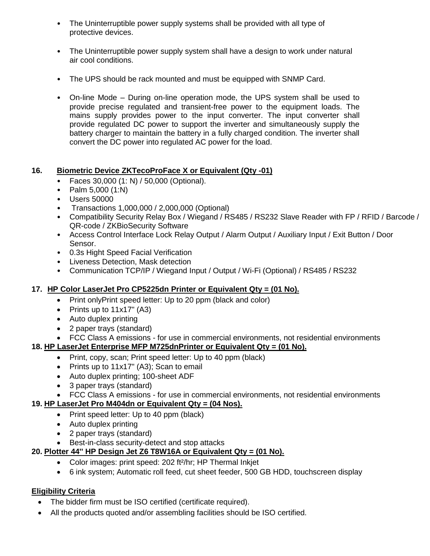- The Uninterruptible power supply systems shall be provided with all type of protective devices.
- The Uninterruptible power supply system shall have a design to work under natural air cool conditions.
- The UPS should be rack mounted and must be equipped with SNMP Card.
- On-line Mode During on-line operation mode, the UPS system shall be used to provide precise regulated and transient-free power to the equipment loads. The mains supply provides power to the input converter. The input converter shall provide regulated DC power to support the inverter and simultaneously supply the battery charger to maintain the battery in a fully charged condition. The inverter shall convert the DC power into regulated AC power for the load.

#### **16. Biometric Device ZKTecoProFace X or Equivalent (Qty -01)**

- Faces 30,000 (1: N) / 50,000 (Optional).
- Palm 5,000 (1:N)
- Users 50000
- Transactions 1,000,000 / 2,000,000 (Optional)
- Compatibility Security Relay Box / Wiegand / RS485 / RS232 Slave Reader with FP / RFID / Barcode / QR-code / ZKBioSecurity Software
- Access Control Interface Lock Relay Output / Alarm Output / Auxiliary Input / Exit Button / Door Sensor.
- 0.3s Hight Speed Facial Verification
- Liveness Detection, Mask detection
- Communication TCP/IP / Wiegand Input / Output / Wi-Fi (Optional) / RS485 / RS232

### **17. HP Color LaserJet Pro CP5225dn Printer or Equivalent Qty = (01 No).**

- Print only Print speed letter: Up to 20 ppm (black and color)
- Prints up to  $11x17$ " (A3)
- Auto duplex printing
- 2 paper trays (standard)
- FCC Class A emissions for use in commercial environments, not residential environments

### **18. HP LaserJet Enterprise MFP M725dnPrinter or Equivalent Qty = (01 No).**

- Print, copy, scan; Print speed letter: Up to 40 ppm (black)
- Prints up to 11x17" (A3); Scan to email
- Auto duplex printing; 100-sheet ADF
- 3 paper trays (standard)
- FCC Class A emissions for use in commercial environments, not residential environments

### **19. HP LaserJet Pro M404dn or Equivalent Qty = (04 Nos).**

- Print speed letter: Up to 40 ppm (black)
- Auto duplex printing
- 2 paper trays (standard)
- Best-in-class security-detect and stop attacks

### **20. Plotter 44'' HP Design Jet Z6 T8W16A or Equivalent Qty = (01 No).**

- Color images: print speed: 202 ft<sup>2</sup>/hr; HP Thermal Inkjet
- 6 ink system; Automatic roll feed, cut sheet feeder, 500 GB HDD, touchscreen display

### **Eligibility Criteria**

- The bidder firm must be ISO certified (certificate required).
- All the products quoted and/or assembling facilities should be ISO certified.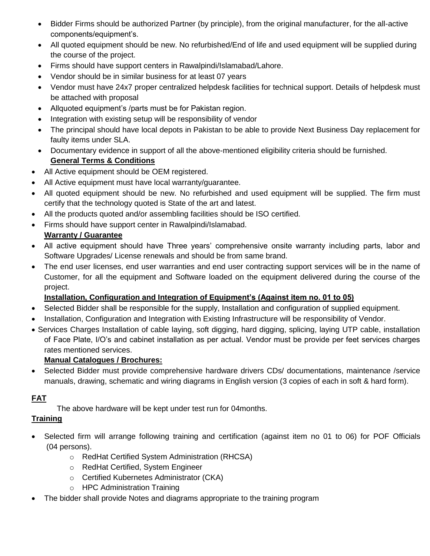- Bidder Firms should be authorized Partner (by principle), from the original manufacturer, for the all-active components/equipment's.
- All quoted equipment should be new. No refurbished/End of life and used equipment will be supplied during the course of the project.
- Firms should have support centers in Rawalpindi/Islamabad/Lahore.
- Vendor should be in similar business for at least 07 years
- Vendor must have 24x7 proper centralized helpdesk facilities for technical support. Details of helpdesk must be attached with proposal
- Allquoted equipment's /parts must be for Pakistan region.
- Integration with existing setup will be responsibility of vendor
- The principal should have local depots in Pakistan to be able to provide Next Business Day replacement for faulty items under SLA.
- Documentary evidence in support of all the above-mentioned eligibility criteria should be furnished. **General Terms & Conditions**
- All Active equipment should be OEM registered.
- All Active equipment must have local warranty/guarantee.
- All quoted equipment should be new. No refurbished and used equipment will be supplied. The firm must certify that the technology quoted is State of the art and latest.
- All the products quoted and/or assembling facilities should be ISO certified.
- Firms should have support center in Rawalpindi/Islamabad.

# **Warranty / Guarantee**

- All active equipment should have Three years' comprehensive onsite warranty including parts, labor and Software Upgrades/ License renewals and should be from same brand.
- The end user licenses, end user warranties and end user contracting support services will be in the name of Customer, for all the equipment and Software loaded on the equipment delivered during the course of the project.

# **Installation, Configuration and Integration of Equipment's (Against item no. 01 to 05)**

- Selected Bidder shall be responsible for the supply, Installation and configuration of supplied equipment.
- Installation, Configuration and Integration with Existing Infrastructure will be responsibility of Vendor.
- Services Charges Installation of cable laying, soft digging, hard digging, splicing, laying UTP cable, installation of Face Plate, I/O's and cabinet installation as per actual. Vendor must be provide per feet services charges rates mentioned services.

### **Manual Catalogues / Brochures:**

 Selected Bidder must provide comprehensive hardware drivers CDs/ documentations, maintenance /service manuals, drawing, schematic and wiring diagrams in English version (3 copies of each in soft & hard form).

# **FAT**

The above hardware will be kept under test run for 04months.

# **Training**

- Selected firm will arrange following training and certification (against item no 01 to 06) for POF Officials (04 persons).
	- o RedHat Certified System Administration (RHCSA)
	- o RedHat Certified, System Engineer
	- o Certified Kubernetes Administrator (CKA)
	- o HPC Administration Training
- The bidder shall provide Notes and diagrams appropriate to the training program